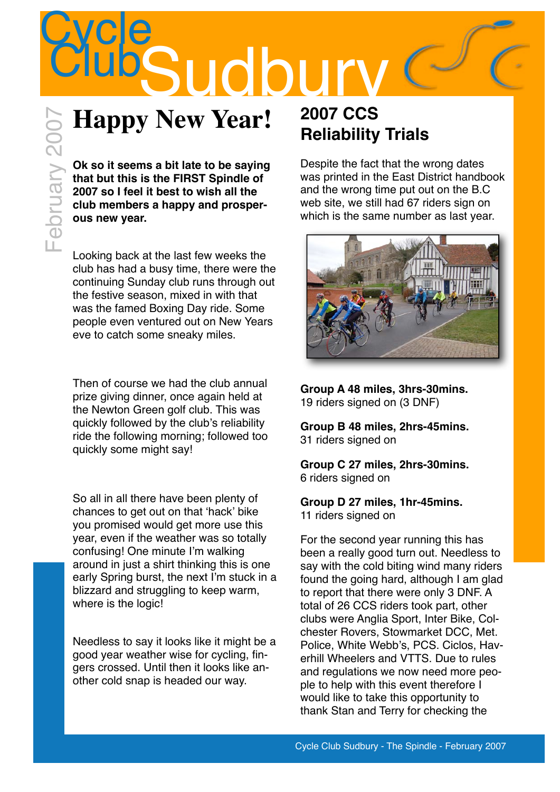

## **Happy New Year!**

**Ok so it seems a bit late to be saying that but this is the FIRST Spindle of 2007 so I feel it best to wish all the club members a happy and prosperous new year.**

Looking back at the last few weeks the club has had a busy time, there were the continuing Sunday club runs through out the festive season, mixed in with that was the famed Boxing Day ride. Some people even ventured out on New Years eve to catch some sneaky miles.

Then of course we had the club annual prize giving dinner, once again held at the Newton Green golf club. This was quickly followed by the club's reliability ride the following morning; followed too quickly some might say!

So all in all there have been plenty of chances to get out on that 'hack' bike you promised would get more use this year, even if the weather was so totally confusing! One minute I'm walking around in just a shirt thinking this is one early Spring burst, the next I'm stuck in a blizzard and struggling to keep warm, where is the logic!

Needless to say it looks like it might be a good year weather wise for cycling, fingers crossed. Until then it looks like another cold snap is headed our way.

### **2007 CCS Reliability Trials**

Despite the fact that the wrong dates was printed in the East District handbook and the wrong time put out on the B.C web site, we still had 67 riders sign on which is the same number as last year.



### **Group A 48 miles, 3hrs-30mins.** 19 riders signed on (3 DNF)

**Group B 48 miles, 2hrs-45mins.** 31 riders signed on

**Group C 27 miles, 2hrs-30mins.** 6 riders signed on

### **Group D 27 miles, 1hr-45mins.** 11 riders signed on

For the second year running this has been a really good turn out. Needless to say with the cold biting wind many riders found the going hard, although I am glad to report that there were only 3 DNF. A total of 26 CCS riders took part, other clubs were Anglia Sport, Inter Bike, Colchester Rovers, Stowmarket DCC, Met. Police, White Webb's, PCS. Ciclos, Haverhill Wheelers and VTTS. Due to rules and regulations we now need more people to help with this event therefore I would like to take this opportunity to thank Stan and Terry for checking the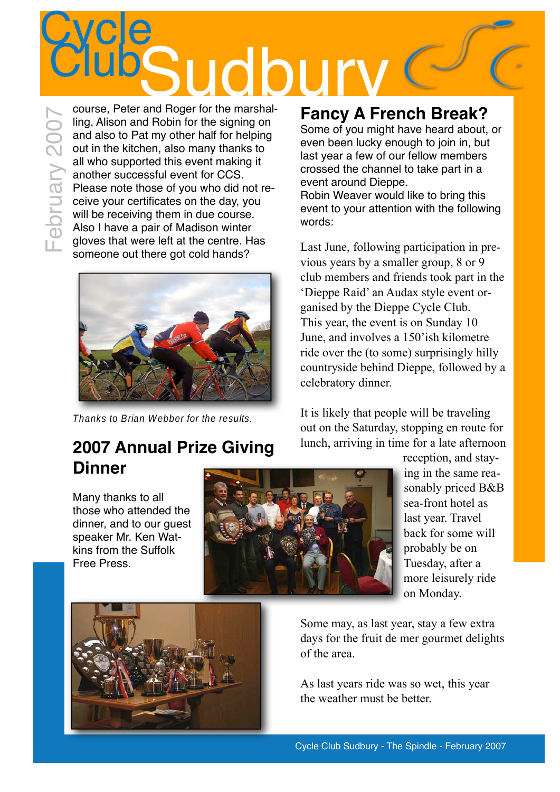# Cycle<br>Club course, Peter and Roger for the marshal **Sudbury**<br>Tand Roger for the marshal-<br>Eancy A Free February 2007

February 2007 ling, Alison and Robin for the signing on and also to Pat my other half for helping out in the kitchen, also many thanks to all who supported this event making it another successful event for CCS. Please note those of you who did not receive your certificates on the day, you will be receiving them in due course. Also I have a pair of Madison winter gloves that were left at the centre. Has someone out there got cold hands?



Thanks to Brian Webber for the results.

### **2007 Annual Prize Giving Dinner**

Many thanks to all those who attended the dinner, and to our guest speaker Mr. Ken Watkins from the Suffolk Free Press.



**Fancy A French Break?**

Some of you might have heard about, or even been lucky enough to join in, but last year a few of our fellow members crossed the channel to take part in a event around Dieppe. Robin Weaver would like to bring this event to your attention with the following words:

Last June, following participation in previous years by a smaller group, 8 or 9 club members and friends took part in the 'Dieppe Raid' an Audax style event organised by the Dieppe Cycle Club. This year, the event is on Sunday 10 June, and involves a 150'ish kilometre ride over the (to some) surprisingly hilly countryside behind Dieppe, followed by a celebratory dinner.

It is likely that people will be traveling out on the Saturday, stopping en route for lunch, arriving in time for a late afternoon

> reception, and staying in the same reasonably priced B&B sea-front hotel as last year. Travel back for some will probably be on Tuesday, after a more leisurely ride on Monday.

Some may, as last year, stay a few extra days for the fruit de mer gourmet delights of the area.

As last years ride was so wet, this year the weather must be better.

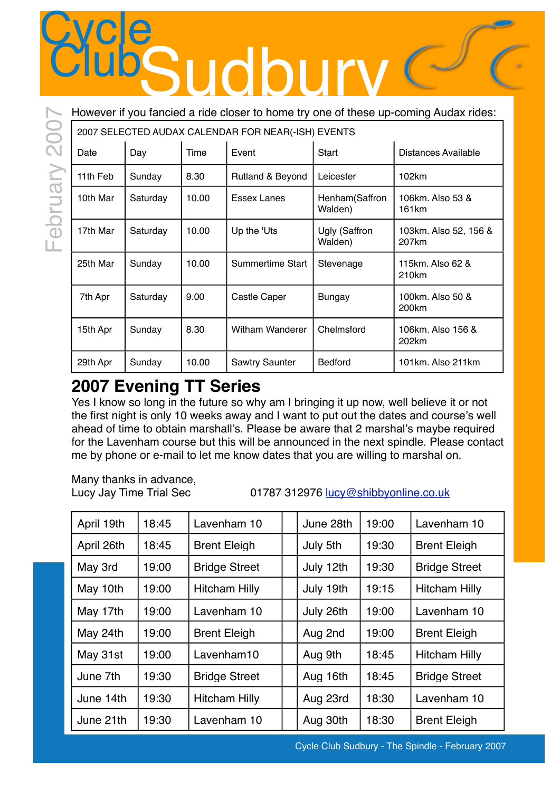### However if you fancied a ride closer to home try one of these up-coming Audax rides:

| 2007 SELECTED AUDAX CALENDAR FOR NEAR(-ISH) EVENTS |  |  |
|----------------------------------------------------|--|--|
|                                                    |  |  |

|          |                                                    | $c \mathbf{e}$ |       | Sudbur                  |                           |                                                                                      |  |  |
|----------|----------------------------------------------------|----------------|-------|-------------------------|---------------------------|--------------------------------------------------------------------------------------|--|--|
|          |                                                    |                |       |                         |                           | However if you fancied a ride closer to home try one of these up-coming Audax rides: |  |  |
| 200      | 2007 SELECTED AUDAX CALENDAR FOR NEAR(-ISH) EVENTS |                |       |                         |                           |                                                                                      |  |  |
| February | Date                                               | Day<br>Time    |       | Event                   | Start                     | Distances Available                                                                  |  |  |
|          | 11th Feb                                           | Sunday         | 8.30  | Rutland & Beyond        | Leicester                 | 102km                                                                                |  |  |
|          | 10th Mar                                           | Saturday       | 10.00 | <b>Essex Lanes</b>      | Henham(Saffron<br>Walden) | 106km. Also 53 &<br>161 <sub>km</sub>                                                |  |  |
|          | 17th Mar                                           | Saturday       | 10.00 | Up the 'Uts             | Ugly (Saffron<br>Walden)  | 103km. Also 52, 156 &<br>207 <sub>km</sub>                                           |  |  |
|          | 25th Mar                                           | Sunday         | 10.00 | <b>Summertime Start</b> | Stevenage                 | 115km, Also 62 &<br>210km                                                            |  |  |
|          | 7th Apr                                            | Saturday       | 9.00  | <b>Castle Caper</b>     | <b>Bungay</b>             | 100km. Also 50 &<br>200km                                                            |  |  |
|          | 15th Apr                                           | Sunday         | 8.30  | <b>Witham Wanderer</b>  | Chelmsford                | 106km. Also 156 &<br>202km                                                           |  |  |
|          | 29th Apr                                           | Sunday         | 10.00 | <b>Sawtry Saunter</b>   | <b>Bedford</b>            | 101km. Also 211km                                                                    |  |  |

### **2007 Evening TT Series**

Yes I know so long in the future so why am I bringing it up now, well believe it or not the first night is only 10 weeks away and I want to put out the dates and course's well ahead of time to obtain marshall's. Please be aware that 2 marshal's maybe required for the Lavenham course but this will be announced in the next spindle. Please contact me by phone or e-mail to let me know dates that you are willing to marshal on.

Many thanks in advance,

Lucy Jay Time Trial Sec 01787 312976 [lucy@shibbyonline.co.uk](mailto:lucy@shibbyonline.co.uk)

| April 19th | 18:45 | Lavenham 10          | June 28th | 19:00 | Lavenham 10          |
|------------|-------|----------------------|-----------|-------|----------------------|
| April 26th | 18:45 | <b>Brent Eleigh</b>  | July 5th  | 19:30 | <b>Brent Eleigh</b>  |
| May 3rd    | 19:00 | <b>Bridge Street</b> | July 12th | 19:30 | <b>Bridge Street</b> |
| May 10th   | 19:00 | <b>Hitcham Hilly</b> | July 19th | 19:15 | <b>Hitcham Hilly</b> |
| May 17th   | 19:00 | Lavenham 10          | July 26th | 19:00 | Lavenham 10          |
| May 24th   | 19:00 | <b>Brent Eleigh</b>  | Aug 2nd   | 19:00 | <b>Brent Eleigh</b>  |
| May 31st   | 19:00 | Lavenham10           | Aug 9th   | 18:45 | <b>Hitcham Hilly</b> |
| June 7th   | 19:30 | <b>Bridge Street</b> | Aug 16th  | 18:45 | <b>Bridge Street</b> |
| June 14th  | 19:30 | <b>Hitcham Hilly</b> | Aug 23rd  | 18:30 | Lavenham 10          |
| June 21th  | 19:30 | Lavenham 10          | Aug 30th  | 18:30 | <b>Brent Eleigh</b>  |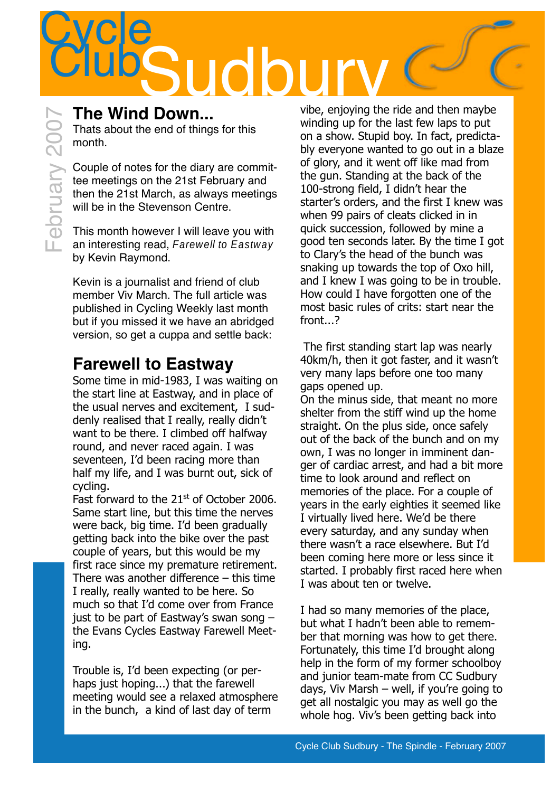# The Wind Down...<br>
Thats about the end of things for this<br>
month.<br>
Couple of notes for the diary are commit-<br>
tee meetings on the 21st February and<br>
then the 21st March, as always meetings<br>
Will be in the Stevenson Centre.<br>

Thats about the end of things for this month.

Couple of notes for the diary are committee meetings on the 21st February and then the 21st March, as always meetings will be in the Stevenson Centre.

This month however I will leave you with an interesting read, Farewell to Eastway by Kevin Raymond.

Kevin is a journalist and friend of club member Viv March. The full article was published in Cycling Weekly last month but if you missed it we have an abridged version, so get a cuppa and settle back:

### **Farewell to Eastway**

Some time in mid-1983, I was waiting on the start line at Eastway, and in place of the usual nerves and excitement, I suddenly realised that I really, really didn't want to be there. I climbed off halfway round, and never raced again. I was seventeen, I'd been racing more than half my life, and I was burnt out, sick of cycling.

Fast forward to the 21<sup>st</sup> of October 2006. Same start line, but this time the nerves were back, big time. I'd been gradually getting back into the bike over the past couple of years, but this would be my first race since my premature retirement. There was another difference  $-$  this time I really, really wanted to be here. So much so that I'd come over from France just to be part of Eastway's swan song – the Evans Cycles Eastway Farewell Meeting.

Trouble is, I'd been expecting (or perhaps just hoping...) that the farewell meeting would see a relaxed atmosphere in the bunch, a kind of last day of term

vibe, enjoying the ride and then maybe winding up for the last few laps to put on a show. Stupid boy. In fact, predictably everyone wanted to go out in a blaze of glory, and it went off like mad from the gun. Standing at the back of the 100-strong field, I didn't hear the starter's orders, and the first I knew was when 99 pairs of cleats clicked in in quick succession, followed by mine a good ten seconds later. By the time I got to Clary's the head of the bunch was snaking up towards the top of Oxo hill, and I knew I was going to be in trouble. How could I have forgotten one of the most basic rules of crits: start near the front...?

The first standing start lap was nearly 40km/h, then it got faster, and it wasn't very many laps before one too many gaps opened up.

On the minus side, that meant no more shelter from the stiff wind up the home straight. On the plus side, once safely out of the back of the bunch and on my own, I was no longer in imminent danger of cardiac arrest, and had a bit more time to look around and reflect on memories of the place. For a couple of years in the early eighties it seemed like I virtually lived here. We'd be there every saturday, and any sunday when there wasn't a race elsewhere. But I'd been coming here more or less since it started. I probably first raced here when I was about ten or twelve.

I had so many memories of the place, but what I hadn't been able to remember that morning was how to get there. Fortunately, this time I'd brought along help in the form of my former schoolboy and junior team-mate from CC Sudbury days, Viv Marsh – well, if you're going to get all nostalgic you may as well go the whole hog. Viv's been getting back into